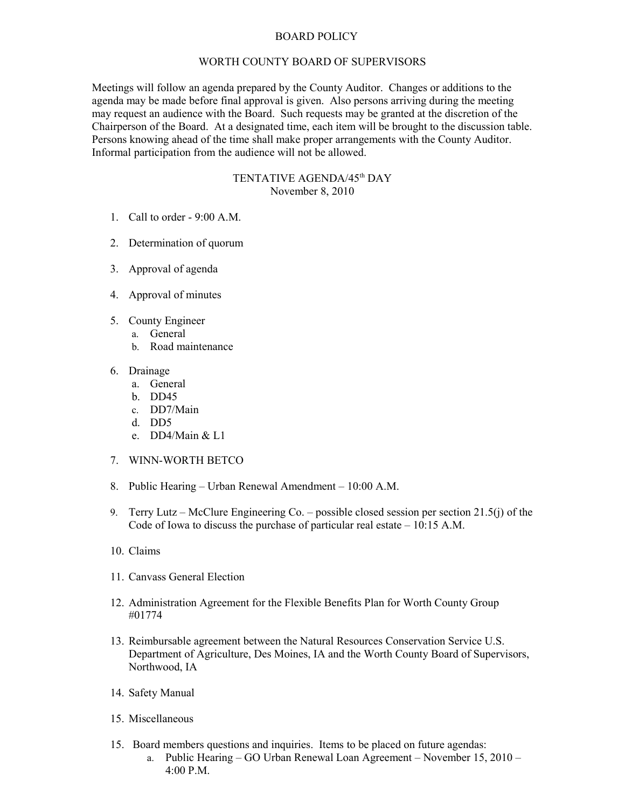## BOARD POLICY

## WORTH COUNTY BOARD OF SUPERVISORS

Meetings will follow an agenda prepared by the County Auditor. Changes or additions to the agenda may be made before final approval is given. Also persons arriving during the meeting may request an audience with the Board. Such requests may be granted at the discretion of the Chairperson of the Board. At a designated time, each item will be brought to the discussion table. Persons knowing ahead of the time shall make proper arrangements with the County Auditor. Informal participation from the audience will not be allowed.

## TENTATIVE AGENDA/45<sup>th</sup> DAY November 8, 2010

- 1. Call to order 9:00 A.M.
- 2. Determination of quorum
- 3. Approval of agenda
- 4. Approval of minutes
- 5. County Engineer
	- a. General
		- b. Road maintenance
- 6. Drainage
	- a. General
	- b. DD45
	- c. DD7/Main
	- d. DD5
	- e. DD4/Main & L1
- 7. WINN-WORTH BETCO
- 8. Public Hearing Urban Renewal Amendment 10:00 A.M.
- 9. Terry Lutz McClure Engineering Co. possible closed session per section 21.5(j) of the Code of Iowa to discuss the purchase of particular real estate – 10:15 A.M.
- 10. Claims
- 11. Canvass General Election
- 12. Administration Agreement for the Flexible Benefits Plan for Worth County Group #01774
- 13. Reimbursable agreement between the Natural Resources Conservation Service U.S. Department of Agriculture, Des Moines, IA and the Worth County Board of Supervisors, Northwood, IA
- 14. Safety Manual
- 15. Miscellaneous
- 15. Board members questions and inquiries. Items to be placed on future agendas:
	- a. Public Hearing GO Urban Renewal Loan Agreement November 15, 2010 4:00 P.M.